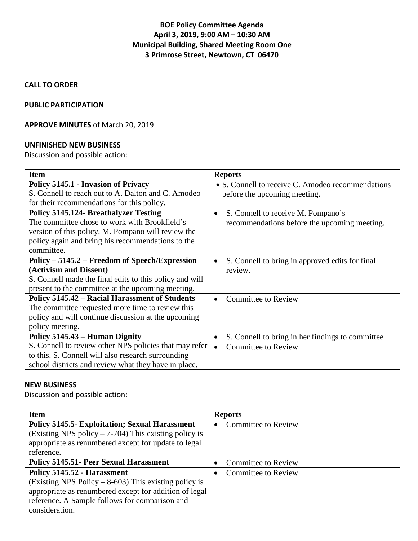# **BOE Policy Committee Agenda April 3, 2019, 9:00 AM – 10:30 AM Municipal Building, Shared Meeting Room One 3 Primrose Street, Newtown, CT 06470**

#### **CALL TO ORDER**

#### **PUBLIC PARTICIPATION**

#### **APPROVE MINUTES** of March 20, 2019

#### **UNFINISHED NEW BUSINESS**

Discussion and possible action:

| <b>Item</b>                                             | <b>Reports</b>                                                |
|---------------------------------------------------------|---------------------------------------------------------------|
| Policy 5145.1 - Invasion of Privacy                     | • S. Connell to receive C. Amodeo recommendations             |
| S. Connell to reach out to A. Dalton and C. Amodeo      | before the upcoming meeting.                                  |
| for their recommendations for this policy.              |                                                               |
| <b>Policy 5145.124- Breathalyzer Testing</b>            | S. Connell to receive M. Pompano's                            |
| The committee chose to work with Brookfield's           | recommendations before the upcoming meeting.                  |
| version of this policy. M. Pompano will review the      |                                                               |
| policy again and bring his recommendations to the       |                                                               |
| committee.                                              |                                                               |
| Policy – 5145.2 – Freedom of Speech/Expression          | S. Connell to bring in approved edits for final               |
| (Activism and Dissent)                                  | review.                                                       |
| S. Connell made the final edits to this policy and will |                                                               |
| present to the committee at the upcoming meeting.       |                                                               |
| <b>Policy 5145.42 - Racial Harassment of Students</b>   | <b>Committee to Review</b>                                    |
| The committee requested more time to review this        |                                                               |
| policy and will continue discussion at the upcoming     |                                                               |
| policy meeting.                                         |                                                               |
| Policy 5145.43 – Human Dignity                          | S. Connell to bring in her findings to committee<br>$\bullet$ |
| S. Connell to review other NPS policies that may refer  | <b>Committee to Review</b><br>$\bullet$                       |
| to this. S. Connell will also research surrounding      |                                                               |
| school districts and review what they have in place.    |                                                               |

#### **NEW BUSINESS**

Discussion and possible action:

| <b>Item</b>                                                                                                                                                                                                          | <b>Reports</b>             |
|----------------------------------------------------------------------------------------------------------------------------------------------------------------------------------------------------------------------|----------------------------|
| <b>Policy 5145.5- Exploitation; Sexual Harassment</b><br>(Existing NPS policy $-7-704$ ) This existing policy is<br>appropriate as renumbered except for update to legal<br>reference.                               | <b>Committee to Review</b> |
| <b>Policy 5145.51- Peer Sexual Harassment</b>                                                                                                                                                                        | <b>Committee to Review</b> |
| Policy 5145.52 - Harassment<br>(Existing NPS Policy $-8-603$ ) This existing policy is<br>appropriate as renumbered except for addition of legal<br>reference. A Sample follows for comparison and<br>consideration. | <b>Committee to Review</b> |